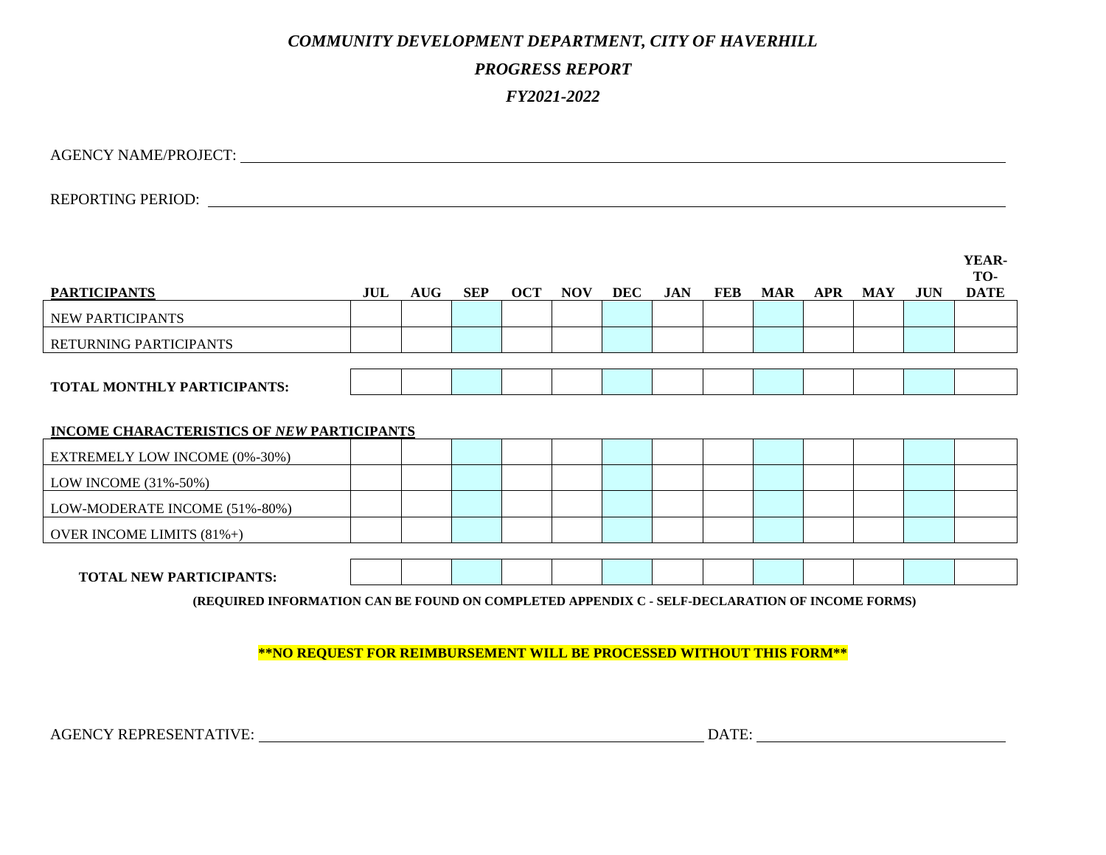## *COMMUNITY DEVELOPMENT DEPARTMENT, CITY OF HAVERHILL*

## *PROGRESS REPORT*

## *FY2021-2022*

AGENCY NAME/PROJECT:

REPORTING PERIOD:

| <b>PARTICIPANTS</b>                                                                                                              | JUL | <b>AUG</b> | <b>SEP</b> | <b>OCT</b> | <b>NOV</b> | <b>DEC</b> | <b>JAN</b> | FEB | <b>MAR</b> | <b>APR</b> | <b>MAY</b> | <b>JUN</b> | YEAR-<br>TO-<br><b>DATE</b> |
|----------------------------------------------------------------------------------------------------------------------------------|-----|------------|------------|------------|------------|------------|------------|-----|------------|------------|------------|------------|-----------------------------|
| NEW PARTICIPANTS                                                                                                                 |     |            |            |            |            |            |            |     |            |            |            |            |                             |
| RETURNING PARTICIPANTS                                                                                                           |     |            |            |            |            |            |            |     |            |            |            |            |                             |
| <b>TOTAL MONTHLY PARTICIPANTS:</b>                                                                                               |     |            |            |            |            |            |            |     |            |            |            |            |                             |
| INCOME CHARACTERISTICS OF NEW PARTICIPANTS                                                                                       |     |            |            |            |            |            |            |     |            |            |            |            |                             |
| EXTREMELY LOW INCOME (0%-30%)                                                                                                    |     |            |            |            |            |            |            |     |            |            |            |            |                             |
| LOW INCOME (31%-50%)                                                                                                             |     |            |            |            |            |            |            |     |            |            |            |            |                             |
| LOW-MODERATE INCOME (51%-80%)                                                                                                    |     |            |            |            |            |            |            |     |            |            |            |            |                             |
| OVER INCOME LIMITS (81%+)                                                                                                        |     |            |            |            |            |            |            |     |            |            |            |            |                             |
| <b>TOTAL NEW PARTICIPANTS:</b><br>(REQUIRED INFORMATION CAN BE FOUND ON COMPLETED APPENDIX C - SELF-DECLARATION OF INCOME FORMS) |     |            |            |            |            |            |            |     |            |            |            |            |                             |

**\*\*NO REQUEST FOR REIMBURSEMENT WILL BE PROCESSED WITHOUT THIS FORM\*\***

AGENCY REPRESENTATIVE: DATE: